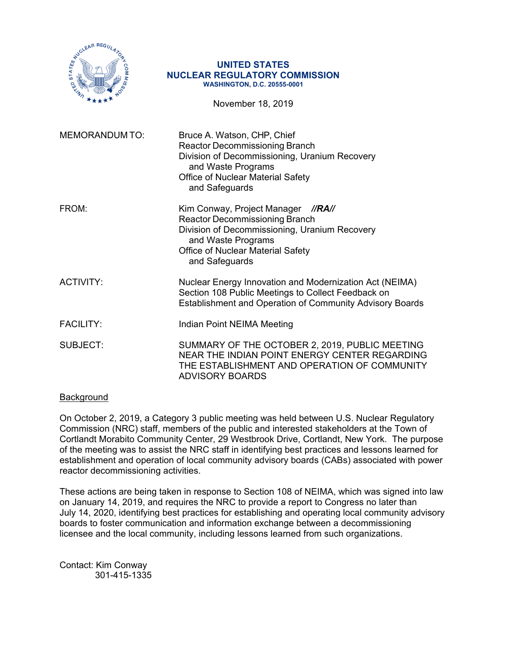

#### **UNITED STATES NUCLEAR REGULATORY COMMISSION WASHINGTON, D.C. 20555-0001**

November 18, 2019

| <b>MEMORANDUM TO:</b> | Bruce A. Watson, CHP, Chief<br>Reactor Decommissioning Branch<br>Division of Decommissioning, Uranium Recovery<br>and Waste Programs<br><b>Office of Nuclear Material Safety</b><br>and Safeguards                  |
|-----------------------|---------------------------------------------------------------------------------------------------------------------------------------------------------------------------------------------------------------------|
| FROM:                 | Kim Conway, Project Manager<br>//RA//<br><b>Reactor Decommissioning Branch</b><br>Division of Decommissioning, Uranium Recovery<br>and Waste Programs<br><b>Office of Nuclear Material Safety</b><br>and Safeguards |
| <b>ACTIVITY:</b>      | Nuclear Energy Innovation and Modernization Act (NEIMA)<br>Section 108 Public Meetings to Collect Feedback on<br>Establishment and Operation of Community Advisory Boards                                           |
| <b>FACILITY:</b>      | Indian Point NEIMA Meeting                                                                                                                                                                                          |
| SUBJECT:              | SUMMARY OF THE OCTOBER 2, 2019, PUBLIC MEETING<br>NEAR THE INDIAN POINT ENERGY CENTER REGARDING<br>THE ESTABLISHMENT AND OPERATION OF COMMUNITY<br><b>ADVISORY BOARDS</b>                                           |

## Background

On October 2, 2019, a Category 3 public meeting was held between U.S. Nuclear Regulatory Commission (NRC) staff, members of the public and interested stakeholders at the Town of Cortlandt Morabito Community Center, 29 Westbrook Drive, Cortlandt, New York. The purpose of the meeting was to assist the NRC staff in identifying best practices and lessons learned for establishment and operation of local community advisory boards (CABs) associated with power reactor decommissioning activities.

These actions are being taken in response to Section 108 of NEIMA, which was signed into law on January 14, 2019, and requires the NRC to provide a report to Congress no later than July 14, 2020, identifying best practices for establishing and operating local community advisory boards to foster communication and information exchange between a decommissioning licensee and the local community, including lessons learned from such organizations.

Contact: Kim Conway 301-415-1335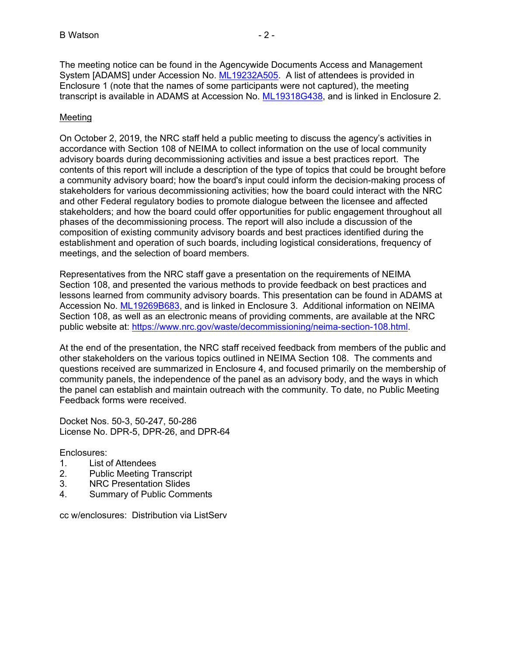The meeting notice can be found in the Agencywide Documents Access and Management System [ADAMS] under Accession No. ML19232A505. A list of attendees is provided in Enclosure 1 (note that the names of some participants were not captured), the meeting transcript is available in ADAMS at Accession No. ML19318G438, and is linked in Enclosure 2.

## Meeting

On October 2, 2019, the NRC staff held a public meeting to discuss the agency's activities in accordance with Section 108 of NEIMA to collect information on the use of local community advisory boards during decommissioning activities and issue a best practices report. The contents of this report will include a description of the type of topics that could be brought before a community advisory board; how the board's input could inform the decision-making process of stakeholders for various decommissioning activities; how the board could interact with the NRC and other Federal regulatory bodies to promote dialogue between the licensee and affected stakeholders; and how the board could offer opportunities for public engagement throughout all phases of the decommissioning process. The report will also include a discussion of the composition of existing community advisory boards and best practices identified during the establishment and operation of such boards, including logistical considerations, frequency of meetings, and the selection of board members.

Representatives from the NRC staff gave a presentation on the requirements of NEIMA Section 108, and presented the various methods to provide feedback on best practices and lessons learned from community advisory boards. This presentation can be found in ADAMS at Accession No. ML19269B683, and is linked in Enclosure 3. Additional information on NEIMA Section 108, as well as an electronic means of providing comments, are available at the NRC public website at: https://www.nrc.gov/waste/decommissioning/neima-section-108.html.

At the end of the presentation, the NRC staff received feedback from members of the public and other stakeholders on the various topics outlined in NEIMA Section 108. The comments and questions received are summarized in Enclosure 4, and focused primarily on the membership of community panels, the independence of the panel as an advisory body, and the ways in which the panel can establish and maintain outreach with the community. To date, no Public Meeting Feedback forms were received.

Docket Nos. 50-3, 50-247, 50-286 License No. DPR-5, DPR-26, and DPR-64

## Enclosures:

- 1. List of Attendees
- 2. Public Meeting Transcript
- 3. NRC Presentation Slides
- 4. Summary of Public Comments

cc w/enclosures: Distribution via ListServ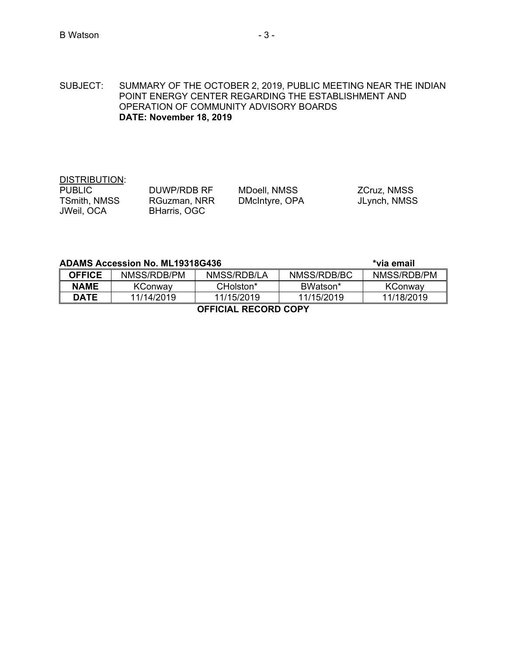SUBJECT: SUMMARY OF THE OCTOBER 2, 2019, PUBLIC MEETING NEAR THE INDIAN POINT ENERGY CENTER REGARDING THE ESTABLISHMENT AND OPERATION OF COMMUNITY ADVISORY BOARDS **DATE: November 18, 2019** 

# DISTRIBUTION:<br>PUBLIC TSmith, NMSS RGuzman, NRR DMcIntyre, OPA JLynch, NMSS JWeil, OCA BHarris, OGC

PUBLIC DUWP/RDB RF MDoell, NMSS ZCruz, NMSS

# ADAMS Accession No. ML19318G436 **Allen Accession No. ML19318G436 Accession Accession** No.

**OFFICE** NMSS/RDB/PM NMSS/RDB/LA NMSS/RDB/BC NMSS/RDB/PM **NAME** | KConway | CHolston<sup>\*</sup> | BWatson<sup>\*</sup> | KConway **DATE** 11/14/2019 11/15/2019 11/15/2019 11/18/2019

**OFFICIAL RECORD COPY**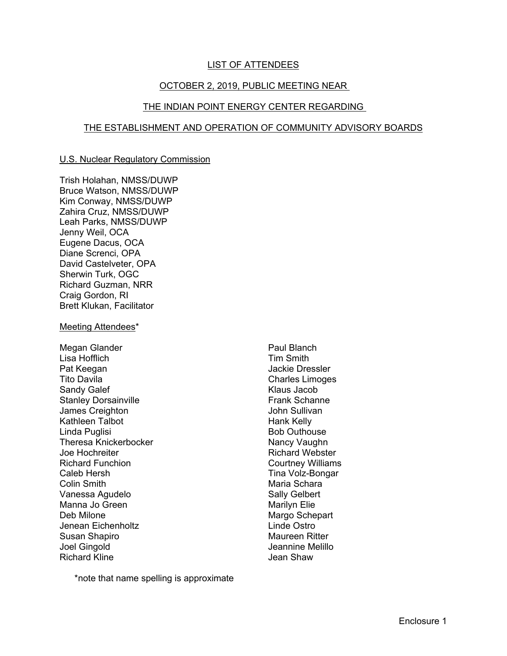## **LIST OF ATTENDEES**

# OCTOBER 2, 2019, PUBLIC MEETING NEAR

#### THE INDIAN POINT ENERGY CENTER REGARDING

## THE ESTABLISHMENT AND OPERATION OF COMMUNITY ADVISORY BOARDS

#### U.S. Nuclear Regulatory Commission

Trish Holahan, NMSS/DUWP Bruce Watson, NMSS/DUWP Kim Conway, NMSS/DUWP Zahira Cruz, NMSS/DUWP Leah Parks, NMSS/DUWP Jenny Weil, OCA Eugene Dacus, OCA Diane Screnci, OPA David Castelveter, OPA Sherwin Turk, OGC Richard Guzman, NRR Craig Gordon, RI Brett Klukan, Facilitator

#### Meeting Attendees\*

Megan Glander Lisa Hofflich Pat Keegan Tito Davila Sandy Galef Stanley Dorsainville James Creighton Kathleen Talbot Linda Puglisi Theresa Knickerbocker Joe Hochreiter Richard Funchion Caleb Hersh Colin Smith Vanessa Agudelo Manna Jo Green Deb Milone Jenean Eichenholtz Susan Shapiro Joel Gingold Richard Kline

Paul Blanch Tim Smith Jackie Dressler Charles Limoges Klaus Jacob Frank Schanne John Sullivan Hank Kelly Bob Outhouse Nancy Vaughn Richard Webster Courtney Williams Tina Volz-Bongar Maria Schara Sally Gelbert Marilyn Elie Margo Schepart Linde Ostro Maureen Ritter Jeannine Melillo Jean Shaw

\*note that name spelling is approximate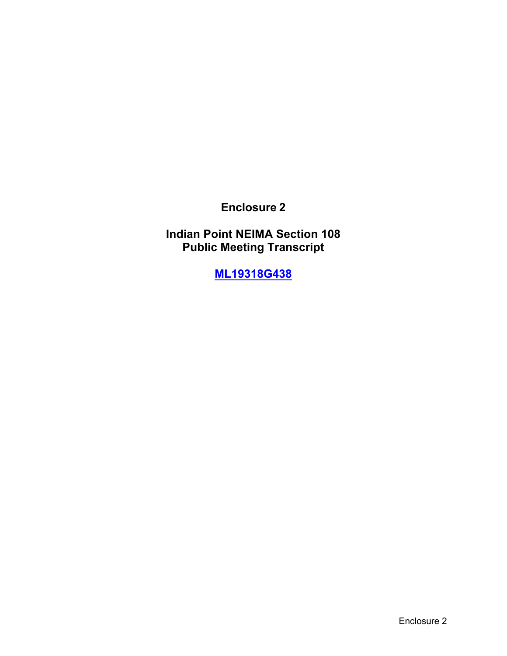**Enclosure 2**

**Indian Point NEIMA Section 108 Public Meeting Transcript** 

**ML19318G438**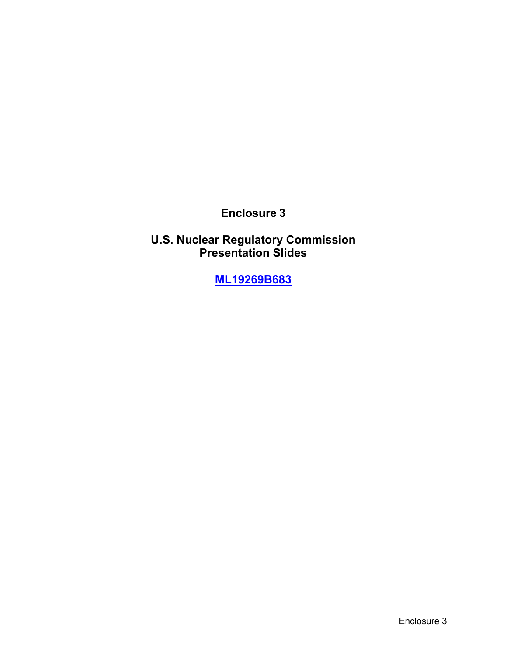**Enclosure 3**

**U.S. Nuclear Regulatory Commission Presentation Slides** 

**ML19269B683**